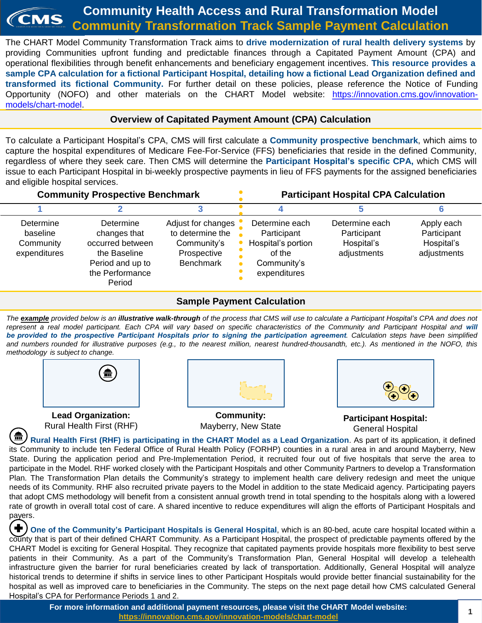#### **Community Health Access and Rural Transformation Model** CMS **Community Transformation Track Sample Payment Calculation**

The CHART Model Community Transformation Track aims to **drive modernization of rural health delivery systems** by providing Communities upfront funding and predictable finances through a Capitated Payment Amount (CPA) and operational flexibilities through benefit enhancements and beneficiary engagement incentives. **This resource provides a** sample CPA calculation for a fictional Participant Hospital, detailing how a fictional Lead Organization defined and **transformed its fictional Community.** For further detail on these policies, please reference the Notice of Funding Opportunity (NOFO) and other materials on the CHART Model website: [https://innovation.cms.gov/innovation](https://innovation.cms.gov/innovation-models/chart-model)models/chart-model.

# **Overview of Capitated Payment Amount (CPA) Calculation**

To calculate a Participant Hospital's CPA, CMS will first calculate a **Community prospective benchmark**, which aims to capture the hospital expenditures of Medicare Fee-For-Service (FFS) beneficiaries that reside in the defined Community, regardless of where they seek care. Then CMS will determine the **Participant Hospital's specific CPA,** which CMS will issue to each Participant Hospital in bi-weekly prospective payments in lieu of FFS payments for the assigned beneficiaries and eligible hospital services.

| <b>Community Prospective Benchmark</b>             |                                                                                                                |                                                                                          | <b>Participant Hospital CPA Calculation</b>                                                  |                                                            |                                                        |
|----------------------------------------------------|----------------------------------------------------------------------------------------------------------------|------------------------------------------------------------------------------------------|----------------------------------------------------------------------------------------------|------------------------------------------------------------|--------------------------------------------------------|
|                                                    |                                                                                                                |                                                                                          |                                                                                              |                                                            |                                                        |
| Determine<br>baseline<br>Community<br>expenditures | Determine<br>changes that<br>occurred between<br>the Baseline<br>Period and up to<br>the Performance<br>Period | Adjust for changes<br>to determine the<br>Community's<br>Prospective<br><b>Benchmark</b> | Determine each<br>Participant<br>Hospital's portion<br>of the<br>Community's<br>expenditures | Determine each<br>Participant<br>Hospital's<br>adjustments | Apply each<br>Participant<br>Hospital's<br>adjustments |

## **Sample Payment Calculation**

The example provided below is an illustrative walk-through of the process that CMS will use to calculate a Participant Hospital's CPA and does not represent a real model participant. Each CPA will vary based on specific characteristics of the Community and Participant Hospital and will *be provided to the prospective Participant Hospitals prior to signing the participation agreement. Calculation steps have been simplified* and numbers rounded for illustrative purposes (e.g., to the nearest million, nearest hundred-thousandth, etc.). As mentioned in the NOFO, this *methodology is subject to change.*



**Lead Organization:**  Rural Health First (RHF)



**Community:** Mayberry, New State



**Participant Hospital:** General Hospital

**Rural Health First (RHF) is participating in the CHART Model as a Lead Organization**. As part of its application, it defined its Community to include ten Federal Office of Rural Health Policy (FORHP) counties in a rural area in and around Mayberry, New State. During the application period and Pre-Implementation Period, it recruited four out of five hospitals that serve the area to participate in the Model. RHF worked closely with the Participant Hospitals and other Community Partners to develop a Transformation Plan. The Transformation Plan details the Community's strategy to implement health care delivery redesign and meet the unique needs of its Community. RHF also recruited private payers to the Model in addition to the state Medicaid agency. Participating payers that adopt CMS methodology will benefit from a consistent annual growth trend in total spending to the hospitals along with a lowered rate of growth in overall total cost of care. A shared incentive to reduce expenditures will align the efforts of Participant Hospitals and payers.

**One of the Community's Participant Hospitals is General Hospital**, which is an 80-bed, acute care hospital located within a county that is part of their defined CHART Community. As a Participant Hospital, the prospect of predictable payments offered by the CHART Model is exciting for General Hospital. They recognize that capitated payments provide hospitals more flexibility to best serve patients in their Community. As a part of the Community's Transformation Plan, General Hospital will develop a telehealth infrastructure given the barrier for rural beneficiaries created by lack of transportation. Additionally, General Hospital will analyze historical trends to determine if shifts in service lines to other Participant Hospitals would provide better financial sustainability for the hospital as well as improved care to beneficiaries in the Community. The steps on the next page detail how CMS calculated General Hospital's CPA for Performance Periods 1 and 2.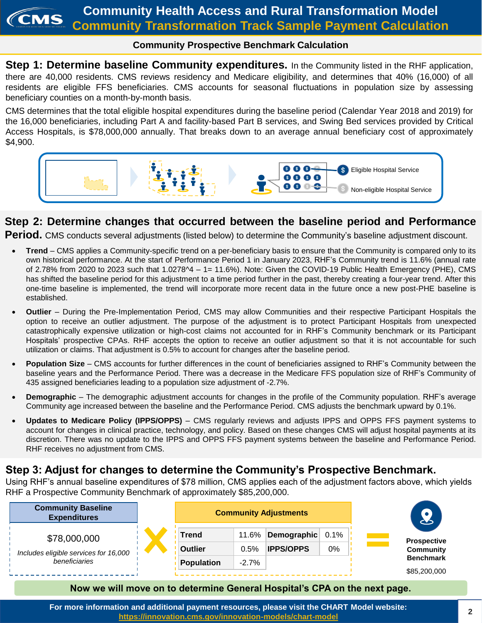## **Community Prospective Benchmark Calculation**

**Step 1: Determine baseline Community expenditures.** In the Community listed in the RHF application, there are 40,000 residents. CMS reviews residency and Medicare eligibility, and determines that 40% (16,000) of all residents are eligible FFS beneficiaries. CMS accounts for seasonal fluctuations in population size by assessing beneficiary counties on a month-by-month basis.

CMS determines that the total eligible hospital expenditures during the baseline period (Calendar Year 2018 and 2019) for the 16,000 beneficiaries, including Part A and facility-based Part B services, and Swing Bed services provided by Critical Access Hospitals, is \$78,000,000 annually. That breaks down to an average annual beneficiary cost of approximately \$4,900.



# **Step 2: Determine changes that occurred between the baseline period and Performance**

**Period.** CMS conducts several adjustments (listed below) to determine the Community's baseline adjustment discount.

- **Trend** CMS applies a Community-specific trend on a per-beneficiary basis to ensure that the Community is compared only to its own historical performance. At the start of Performance Period 1 in January 2023, RHF's Community trend is 11.6% (annual rate of 2.78% from 2020 to 2023 such that 1.0278^4 – 1= 11.6%). Note: Given the COVID-19 Public Health Emergency (PHE), CMS has shifted the baseline period for this adjustment to a time period further in the past, thereby creating a four-year trend. After this one-time baseline is implemented, the trend will incorporate more recent data in the future once a new post-PHE baseline is established.
- **Outlier** During the Pre-Implementation Period, CMS may allow Communities and their respective Participant Hospitals the option to receive an outlier adjustment. The purpose of the adjustment is to protect Participant Hospitals from unexpected catastrophically expensive utilization or high-cost claims not accounted for in RHF's Community benchmark or its Participant Hospitals' prospective CPAs. RHF accepts the option to receive an outlier adjustment so that it is not accountable for such utilization or claims. That adjustment is 0.5% to account for changes after the baseline period.
- **Population Size** CMS accounts for further differences in the count of beneficiaries assigned to RHF's Community between the baseline years and the Performance Period. There was a decrease in the Medicare FFS population size of RHF's Community of 435 assigned beneficiaries leading to a population size adjustment of -2.7%.
- **Demographic** The demographic adjustment accounts for changes in the profile of the Community population. RHF's average Community age increased between the baseline and the Performance Period. CMS adjusts the benchmark upward by 0.1%.
- **Updates to Medicare Policy (IPPS/OPPS)** CMS regularly reviews and adjusts IPPS and OPPS FFS payment systems to account for changes in clinical practice, technology, and policy. Based on these changes CMS will adjust hospital payments at its discretion. There was no update to the IPPS and OPPS FFS payment systems between the baseline and Performance Period. RHF receives no adjustment from CMS.

# **Step 3: Adjust for changes to determine the Community's Prospective Benchmark.**

Using RHF's annual baseline expenditures of \$78 million, CMS applies each of the adjustment factors above, which yields RHF a Prospective Community Benchmark of approximately \$85,200,000.



### **Now we will move on to determine General Hospital's CPA on the next page.**

**For more information and additional payment resources, please visit the CHART Model website: https://innovation.cms.gov/innovation-models/chart-model**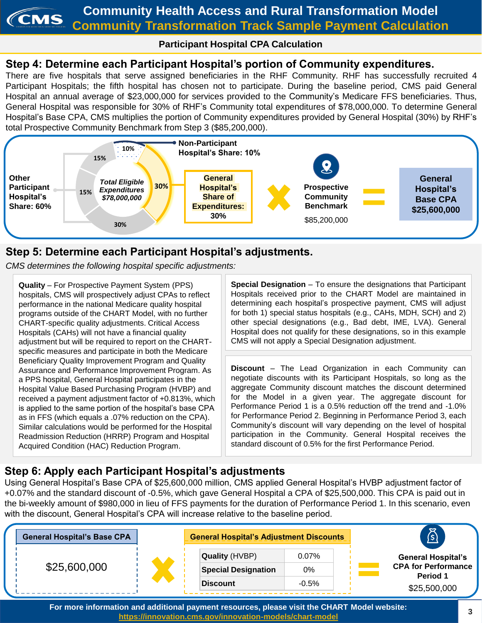#### **Community Health Access and Rural Transformation Model** *CMS* **Community Transformation Track Sample Payment Calculation**

# **Participant Hospital CPA Calculation**

# **Step 4: Determine each Participant Hospital's portion of Community expenditures.**

There are five hospitals that serve assigned beneficiaries in the RHF Community. RHF has successfully recruited 4 Participant Hospitals; the fifth hospital has chosen not to participate. During the baseline period, CMS paid General Hospital an annual average of \$23,000,000 for services provided to the Community's Medicare FFS beneficiaries. Thus, General Hospital was responsible for 30% of RHF's Community total expenditures of \$78,000,000. To determine General Hospital's Base CPA, CMS multiplies the portion of Community expenditures provided by General Hospital (30%) by RHF's total Prospective Community Benchmark from Step 3 (\$85,200,000).



# **Step 5: Determine each Participant Hospital's adjustments.**

*CMS determines the following hospital specific adjustments:*

**Quality** – For Prospective Payment System (PPS) hospitals, CMS will prospectively adjust CPAs to reflect performance in the national Medicare quality hospital programs outside of the CHART Model, with no further CHART-specific quality adjustments. Critical Access Hospitals (CAHs) will not have a financial quality adjustment but will be required to report on the CHARTspecific measures and participate in both the Medicare Beneficiary Quality Improvement Program and Quality Assurance and Performance Improvement Program. As a PPS hospital, General Hospital participates in the Hospital Value Based Purchasing Program (HVBP) and received a payment adjustment factor of +0.813%, which is applied to the same portion of the hospital's base CPA as in FFS (which equals a .07% reduction on the CPA). Similar calculations would be performed for the Hospital Readmission Reduction (HRRP) Program and Hospital Acquired Condition (HAC) Reduction Program.

**Special Designation** – To ensure the designations that Participant Hospitals received prior to the CHART Model are maintained in determining each hospital's prospective payment, CMS will adjust for both 1) special status hospitals (e.g., CAHs, MDH, SCH) and 2) other special designations (e.g., Bad debt, IME, LVA). General Hospital does not qualify for these designations, so in this example CMS will not apply a Special Designation adjustment.

**Discount** – The Lead Organization in each Community can negotiate discounts with its Participant Hospitals, so long as the aggregate Community discount matches the discount determined for the Model in a given year. The aggregate discount for Performance Period 1 is a 0.5% reduction off the trend and -1.0% for Performance Period 2. Beginning in Performance Period 3, each Community's discount will vary depending on the level of hospital participation in the Community. General Hospital receives the standard discount of 0.5% for the first Performance Period.

# **Step 6: Apply each Participant Hospital's adjustments**

Using General Hospital's Base CPA of \$25,600,000 million, CMS applied General Hospital's HVBP adjustment factor of +0.07% and the standard discount of -0.5%, which gave General Hospital a CPA of \$25,500,000. This CPA is paid out in the bi-weekly amount of \$980,000 in lieu of FFS payments for the duration of Performance Period 1. In this scenario, even with the discount, General Hospital's CPA will increase relative to the baseline period.



**For more information and additional payment resources, please visit the CHART Model website: https://innovation.cms.gov/innovation-models/chart-model**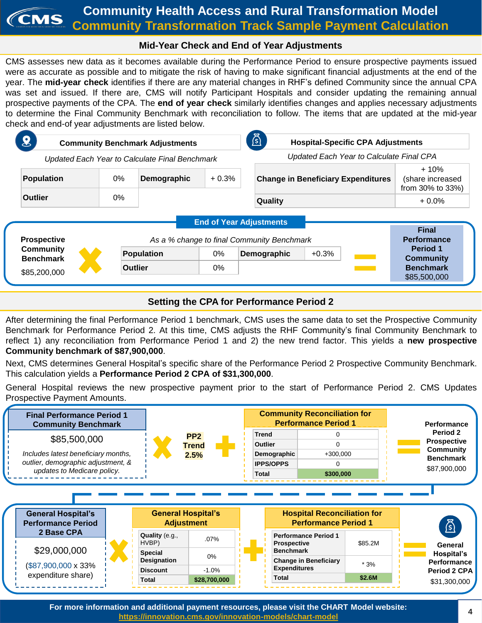#### **Community Health Access and Rural Transformation Model** CMS **Community Transformation Track Sample Payment Calculation**

# **Mid-Year Check and End of Year Adjustments**

CMS assesses new data as it becomes available during the Performance Period to ensure prospective payments issued were as accurate as possible and to mitigate the risk of having to make significant financial adjustments at the end of the year. The **mid-year check** identifies if there are any material changes in RHF's defined Community since the annual CPA was set and issued. If there are, CMS will notify Participant Hospitals and consider updating the remaining annual prospective payments of the CPA. The **end of year check** similarly identifies changes and applies necessary adjustments to determine the Final Community Benchmark with reconciliation to follow. The items that are updated at the mid-year check and end-of year adjustments are listed below.

| $\bf{8}$<br><b>Community Benchmark Adjustments</b> |                      |                                     |         | <u>হ</u> া<br><b>Hospital-Specific CPA Adjustments</b> |                                                                         |  |
|----------------------------------------------------|----------------------|-------------------------------------|---------|--------------------------------------------------------|-------------------------------------------------------------------------|--|
| Updated Each Year to Calculate Final Benchmark     |                      |                                     |         | Updated Each Year to Calculate Final CPA               |                                                                         |  |
| <b>Population</b>                                  | 0%                   | Demographic                         | $+0.3%$ | <b>Change in Beneficiary Expenditures</b>              | $+10%$<br>(share increased<br>from 30% to 33%)                          |  |
| <b>Outlier</b>                                     | 0%<br><b>Quality</b> |                                     |         | $+0.0%$                                                |                                                                         |  |
|                                                    |                      |                                     |         | <b>End of Year Adjustments</b>                         |                                                                         |  |
| <b>Prospective</b>                                 |                      |                                     |         | As a % change to final Community Benchmark             | <b>Final</b><br><b>Performance</b>                                      |  |
| <b>Community</b><br><b>Benchmark</b>               |                      | <b>Population</b><br><b>Outlier</b> |         | Demographic<br>$+0.3%$                                 | <b>Period 1</b><br><b>Community</b><br><b>Benchmark</b><br>\$85,500,000 |  |
| \$85,200,000                                       |                      |                                     |         |                                                        |                                                                         |  |

# **Setting the CPA for Performance Period 2**

After determining the final Performance Period 1 benchmark, CMS uses the same data to set the Prospective Community Benchmark for Performance Period 2. At this time, CMS adjusts the RHF Community's final Community Benchmark to reflect 1) any reconciliation from Performance Period 1 and 2) the new trend factor. This yields a **new prospective Community benchmark of \$87,900,000**.

Next, CMS determines General Hospital's specific share of the Performance Period 2 Prospective Community Benchmark. This calculation yields a **Performance Period 2 CPA of \$31,300,000**.

General Hospital reviews the new prospective payment prior to the start of Performance Period 2. CMS Updates Prospective Payment Amounts.